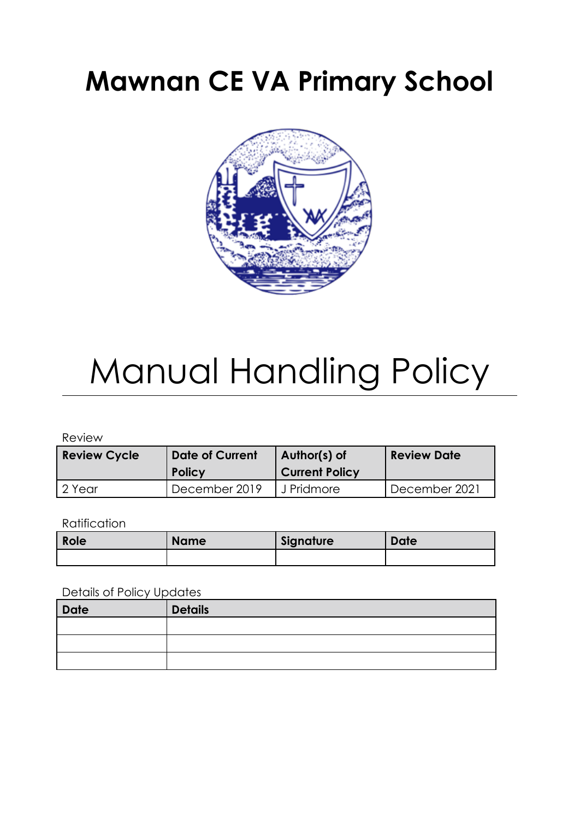# **Mawnan CE VA Primary School**



# Manual Handling Policy

Review

| <b>Review Cycle</b> | <b>Date of Current</b><br><b>Policy</b> | Author(s) of<br><b>Current Policy</b> | <b>Review Date</b> |
|---------------------|-----------------------------------------|---------------------------------------|--------------------|
| l 2 Year            | December 2019                           | J Pridmore                            | December 2021      |

#### **Ratification**

| <b>Role</b> | <b>Name</b> | Signature | Date |
|-------------|-------------|-----------|------|
|             |             |           |      |

#### Details of Policy Updates

| Date | <b>Details</b> |
|------|----------------|
|      |                |
|      |                |
|      |                |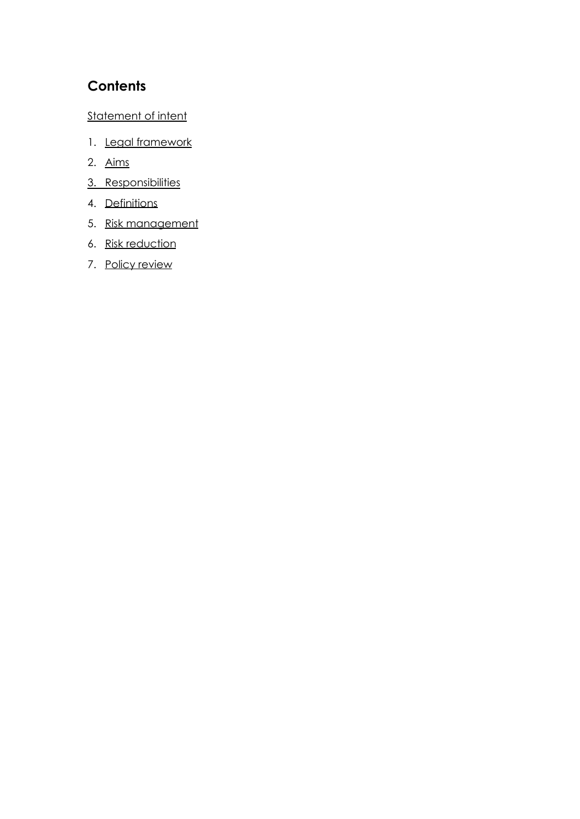# **Contents**

#### [Statement](#page-3-0) of intent

- 1. Legal [framework](#page-5-0)
- 2. [Aims](#page-5-1)
- 3. [Responsibilities](#page-5-2)
- 4. [Definitions](#page-6-0)
- 5. Risk [management](#page-6-1)
- 6. Risk [reduction](#page-8-0)
- 7. Policy [review](#page-8-1)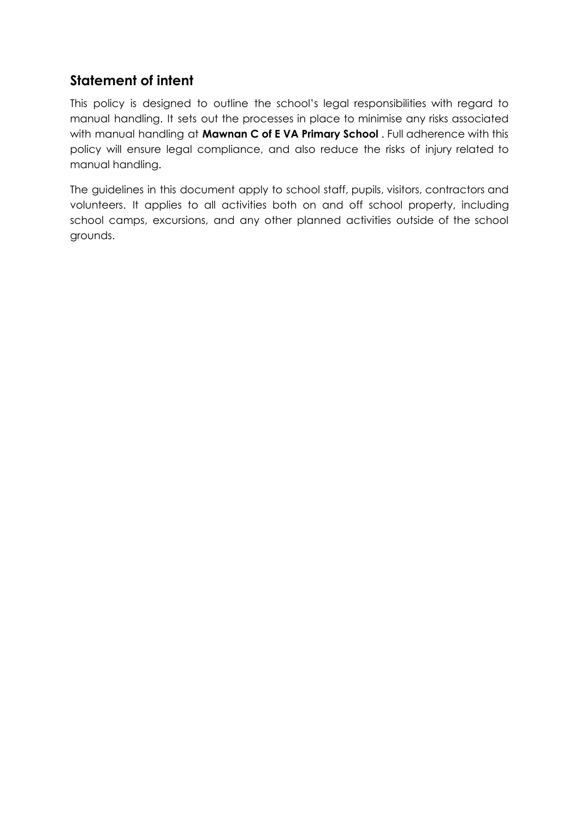# <span id="page-3-0"></span>**Statement of intent**

This policy is designed to outline the school's legal responsibilities with regard to manual handling. It sets out the processes in place to minimise any risks associated with manual handling at **Mawnan C of E VA Primary School** . Full adherence with this policy will ensure legal compliance, and also reduce the risks of injury related to manual handling.

The guidelines in this document apply to school staff, pupils, visitors, contractors and volunteers. It applies to all activities both on and off school property, including school camps, excursions, and any other planned activities outside of the school grounds.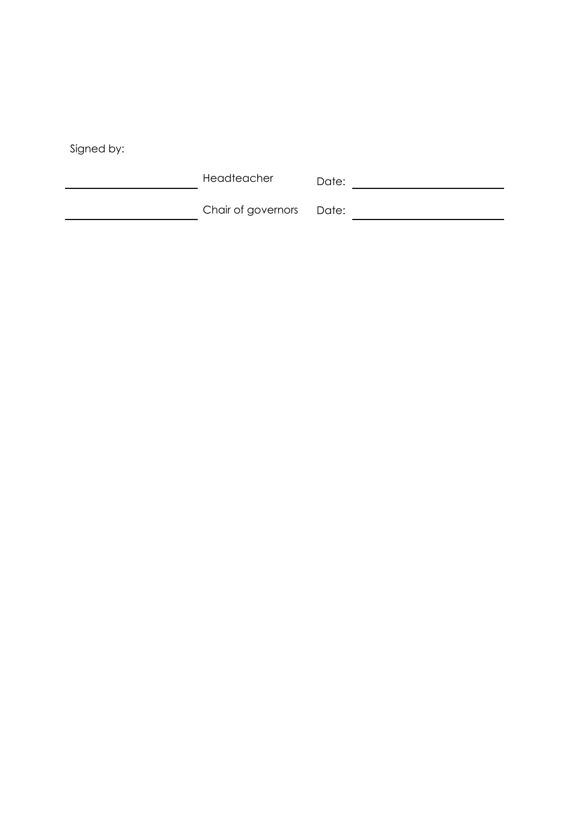| Signed by: |  |
|------------|--|

Headteacher Date:

| Date: |  |  |  |
|-------|--|--|--|
|-------|--|--|--|

Chair of governors Date: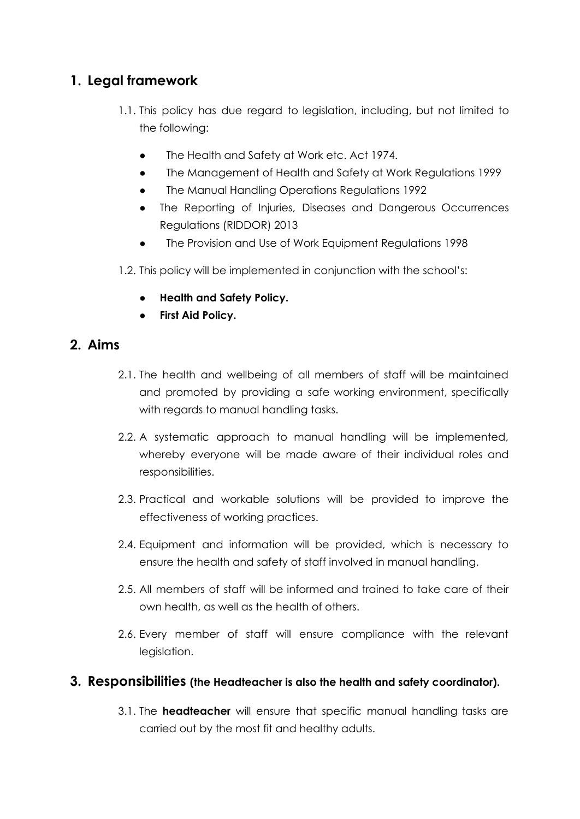# <span id="page-5-0"></span>**1. Legal framework**

- 1.1. This policy has due regard to legislation, including, but not limited to the following:
	- The Health and Safety at Work etc. Act 1974.
	- The Management of Health and Safety at Work Regulations 1999
	- The Manual Handling Operations Regulations 1992
	- The Reporting of Injuries, Diseases and Dangerous Occurrences Regulations (RIDDOR) 2013
	- The Provision and Use of Work Equipment Regulations 1998
- 1.2. This policy will be implemented in conjunction with the school's:
	- **● Health and Safety Policy.**
	- **● First Aid Policy.**

#### <span id="page-5-1"></span>**2. Aims**

- 2.1. The health and wellbeing of all members of staff will be maintained and promoted by providing a safe working environment, specifically with regards to manual handling tasks.
- 2.2. A systematic approach to manual handling will be implemented, whereby everyone will be made aware of their individual roles and responsibilities.
- 2.3. Practical and workable solutions will be provided to improve the effectiveness of working practices.
- 2.4. Equipment and information will be provided, which is necessary to ensure the health and safety of staff involved in manual handling.
- 2.5. All members of staff will be informed and trained to take care of their own health, as well as the health of others.
- 2.6. Every member of staff will ensure compliance with the relevant legislation.

#### <span id="page-5-2"></span>**3. Responsibilities (the Headteacher is also the health and safety coordinator).**

3.1. The **headteacher** will ensure that specific manual handling tasks are carried out by the most fit and healthy adults.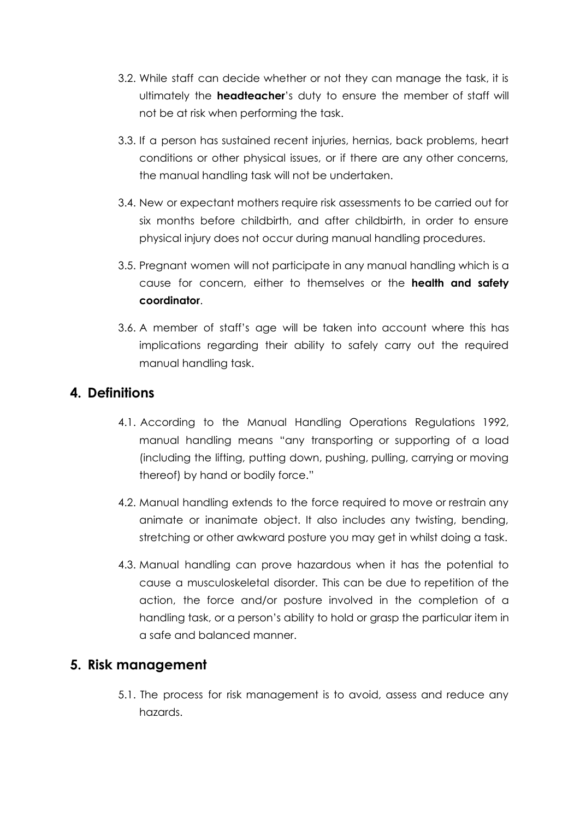- 3.2. While staff can decide whether or not they can manage the task, it is ultimately the **headteacher**'s duty to ensure the member of staff will not be at risk when performing the task.
- 3.3. If a person has sustained recent injuries, hernias, back problems, heart conditions or other physical issues, or if there are any other concerns, the manual handling task will not be undertaken.
- 3.4. New or expectant mothers require risk assessments to be carried out for six months before childbirth, and after childbirth, in order to ensure physical injury does not occur during manual handling procedures.
- 3.5. Pregnant women will not participate in any manual handling which is a cause for concern, either to themselves or the **health and safety coordinator**.
- 3.6. A member of staff's age will be taken into account where this has implications regarding their ability to safely carry out the required manual handling task.

# <span id="page-6-0"></span>**4. Definitions**

- 4.1. According to the Manual Handling Operations Regulations 1992, manual handling means "any transporting or supporting of a load (including the lifting, putting down, pushing, pulling, carrying or moving thereof) by hand or bodily force."
- 4.2. Manual handling extends to the force required to move or restrain any animate or inanimate object. It also includes any twisting, bending, stretching or other awkward posture you may get in whilst doing a task.
- 4.3. Manual handling can prove hazardous when it has the potential to cause a musculoskeletal disorder. This can be due to repetition of the action, the force and/or posture involved in the completion of a handling task, or a person's ability to hold or grasp the particular item in a safe and balanced manner.

# <span id="page-6-1"></span>**5. Risk management**

5.1. The process for risk management is to avoid, assess and reduce any hazards.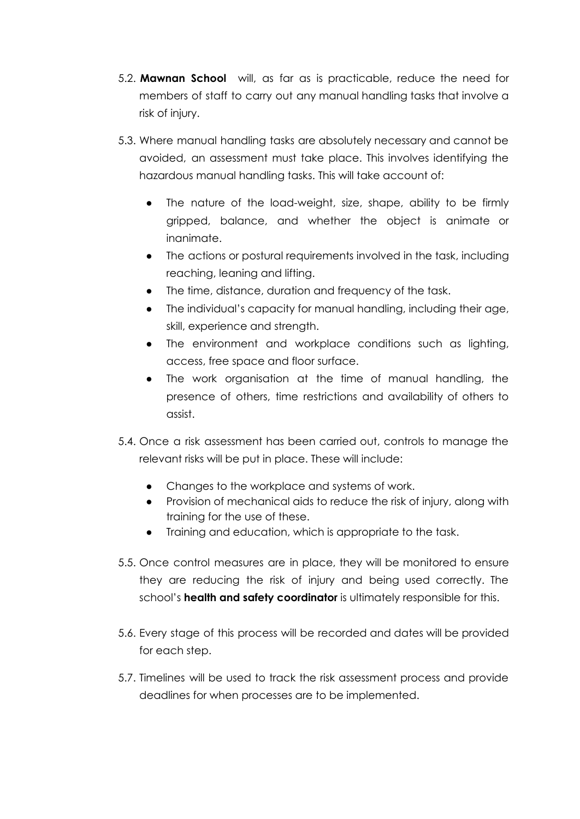- 5.2. **Mawnan School** will, as far as is practicable, reduce the need for members of staff to carry out any manual handling tasks that involve a risk of injury.
- 5.3. Where manual handling tasks are absolutely necessary and cannot be avoided, an assessment must take place. This involves identifying the hazardous manual handling tasks. This will take account of:
	- The nature of the load-weight, size, shape, ability to be firmly gripped, balance, and whether the object is animate or inanimate.
	- The actions or postural requirements involved in the task, including reaching, leaning and lifting.
	- The time, distance, duration and frequency of the task.
	- The individual's capacity for manual handling, including their age, skill, experience and strength.
	- The environment and workplace conditions such as lighting, access, free space and floor surface.
	- The work organisation at the time of manual handling, the presence of others, time restrictions and availability of others to assist.
- 5.4. Once a risk assessment has been carried out, controls to manage the relevant risks will be put in place. These will include:
	- Changes to the workplace and systems of work.
	- Provision of mechanical aids to reduce the risk of injury, along with training for the use of these.
	- Training and education, which is appropriate to the task.
- 5.5. Once control measures are in place, they will be monitored to ensure they are reducing the risk of injury and being used correctly. The school's **health and safety coordinator** is ultimately responsible for this.
- 5.6. Every stage of this process will be recorded and dates will be provided for each step.
- 5.7. Timelines will be used to track the risk assessment process and provide deadlines for when processes are to be implemented.